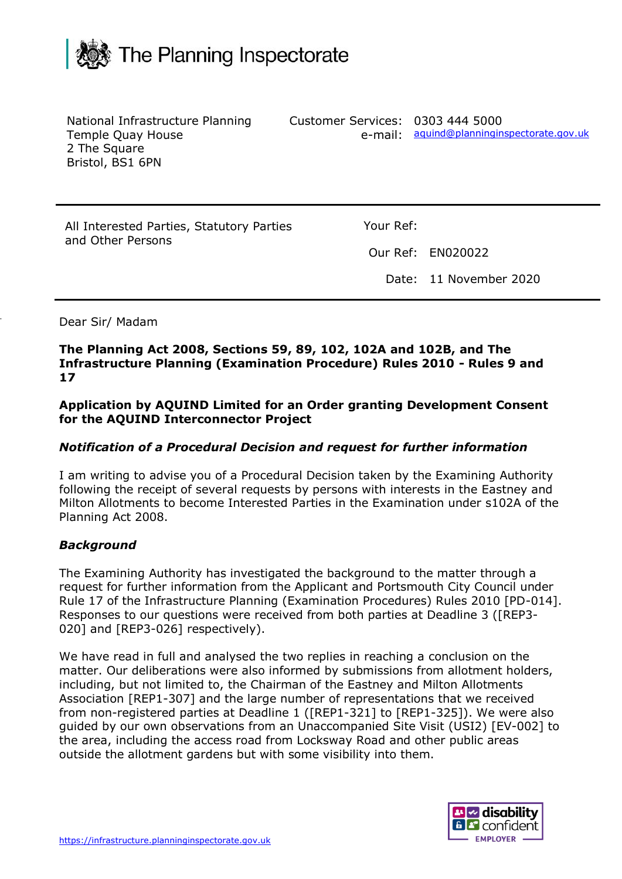

| National Infrastructure Planning<br>Temple Quay House<br>2 The Square<br>Bristol, BS1 6PN | e-mail:   | Customer Services: 0303 444 5000<br>aquind@planninginspectorate.gov.uk |
|-------------------------------------------------------------------------------------------|-----------|------------------------------------------------------------------------|
| All Interested Parties, Statutory Parties<br>and Other Persons                            | Your Ref: |                                                                        |
|                                                                                           |           | Our Ref: EN020022                                                      |
|                                                                                           |           | Date: 11 November 2020                                                 |
|                                                                                           |           |                                                                        |

Dear Sir/ Madam

**The Planning Act 2008, Sections 59, 89, 102, 102A and 102B, and The Infrastructure Planning (Examination Procedure) Rules 2010 - Rules 9 and 17**

**Application by AQUIND Limited for an Order granting Development Consent for the AQUIND Interconnector Project**

## *Notification of a Procedural Decision and request for further information*

I am writing to advise you of a Procedural Decision taken by the Examining Authority following the receipt of several requests by persons with interests in the Eastney and Milton Allotments to become Interested Parties in the Examination under s102A of the Planning Act 2008.

## *Background*

The Examining Authority has investigated the background to the matter through a request for further information from the Applicant and Portsmouth City Council under Rule 17 of the Infrastructure Planning (Examination Procedures) Rules 2010 [PD-014]. Responses to our questions were received from both parties at Deadline 3 ([REP3- 020] and [REP3-026] respectively).

We have read in full and analysed the two replies in reaching a conclusion on the matter. Our deliberations were also informed by submissions from allotment holders, including, but not limited to, the Chairman of the Eastney and Milton Allotments Association [REP1-307] and the large number of representations that we received from non-registered parties at Deadline 1 ([REP1-321] to [REP1-325]). We were also guided by our own observations from an Unaccompanied Site Visit (USI2) [EV-002] to the area, including the access road from Locksway Road and other public areas outside the allotment gardens but with some visibility into them.

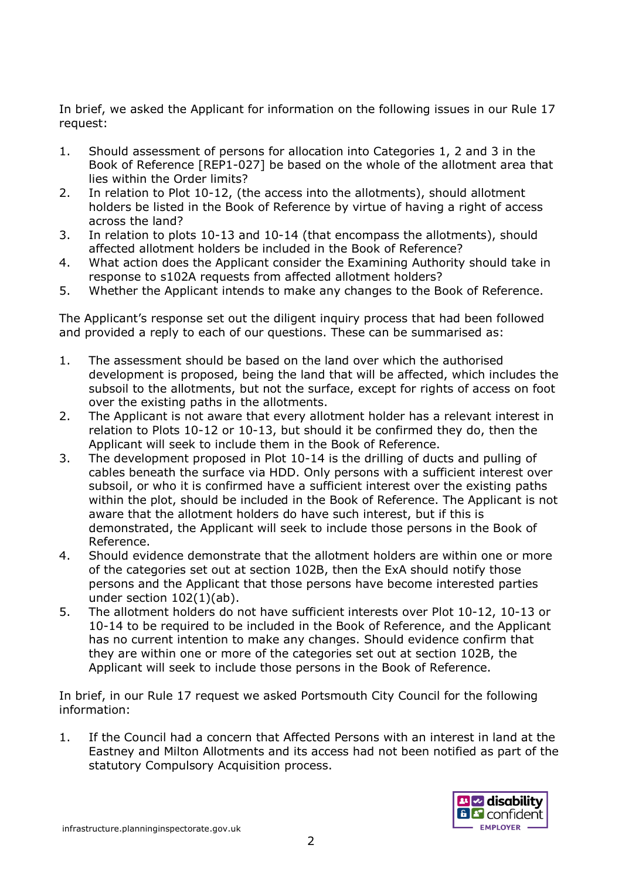In brief, we asked the Applicant for information on the following issues in our Rule 17 request:

- 1. Should assessment of persons for allocation into Categories 1, 2 and 3 in the Book of Reference [REP1-027] be based on the whole of the allotment area that lies within the Order limits?
- 2. In relation to Plot 10-12, (the access into the allotments), should allotment holders be listed in the Book of Reference by virtue of having a right of access across the land?
- 3. In relation to plots 10-13 and 10-14 (that encompass the allotments), should affected allotment holders be included in the Book of Reference?
- 4. What action does the Applicant consider the Examining Authority should take in response to s102A requests from affected allotment holders?
- 5. Whether the Applicant intends to make any changes to the Book of Reference.

The Applicant's response set out the diligent inquiry process that had been followed and provided a reply to each of our questions. These can be summarised as:

- 1. The assessment should be based on the land over which the authorised development is proposed, being the land that will be affected, which includes the subsoil to the allotments, but not the surface, except for rights of access on foot over the existing paths in the allotments.
- 2. The Applicant is not aware that every allotment holder has a relevant interest in relation to Plots 10-12 or 10-13, but should it be confirmed they do, then the Applicant will seek to include them in the Book of Reference.
- 3. The development proposed in Plot 10-14 is the drilling of ducts and pulling of cables beneath the surface via HDD. Only persons with a sufficient interest over subsoil, or who it is confirmed have a sufficient interest over the existing paths within the plot, should be included in the Book of Reference. The Applicant is not aware that the allotment holders do have such interest, but if this is demonstrated, the Applicant will seek to include those persons in the Book of Reference.
- 4. Should evidence demonstrate that the allotment holders are within one or more of the categories set out at section 102B, then the ExA should notify those persons and the Applicant that those persons have become interested parties under section 102(1)(ab).
- 5. The allotment holders do not have sufficient interests over Plot 10-12, 10-13 or 10-14 to be required to be included in the Book of Reference, and the Applicant has no current intention to make any changes. Should evidence confirm that they are within one or more of the categories set out at section 102B, the Applicant will seek to include those persons in the Book of Reference.

In brief, in our Rule 17 request we asked Portsmouth City Council for the following information:

1. If the Council had a concern that Affected Persons with an interest in land at the Eastney and Milton Allotments and its access had not been notified as part of the statutory Compulsory Acquisition process.

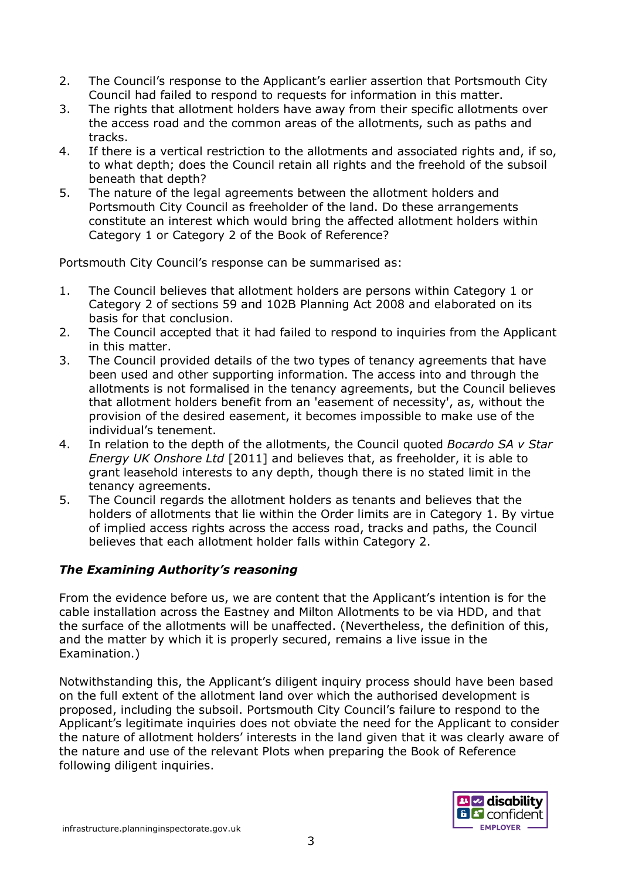- 2. The Council's response to the Applicant's earlier assertion that Portsmouth City Council had failed to respond to requests for information in this matter.
- 3. The rights that allotment holders have away from their specific allotments over the access road and the common areas of the allotments, such as paths and tracks.
- 4. If there is a vertical restriction to the allotments and associated rights and, if so, to what depth; does the Council retain all rights and the freehold of the subsoil beneath that depth?
- 5. The nature of the legal agreements between the allotment holders and Portsmouth City Council as freeholder of the land. Do these arrangements constitute an interest which would bring the affected allotment holders within Category 1 or Category 2 of the Book of Reference?

Portsmouth City Council's response can be summarised as:

- 1. The Council believes that allotment holders are persons within Category 1 or Category 2 of sections 59 and 102B Planning Act 2008 and elaborated on its basis for that conclusion.
- 2. The Council accepted that it had failed to respond to inquiries from the Applicant in this matter.
- 3. The Council provided details of the two types of tenancy agreements that have been used and other supporting information. The access into and through the allotments is not formalised in the tenancy agreements, but the Council believes that allotment holders benefit from an 'easement of necessity', as, without the provision of the desired easement, it becomes impossible to make use of the individual's tenement.
- 4. In relation to the depth of the allotments, the Council quoted *Bocardo SA v Star Energy UK Onshore Ltd* [2011] and believes that, as freeholder, it is able to grant leasehold interests to any depth, though there is no stated limit in the tenancy agreements.
- 5. The Council regards the allotment holders as tenants and believes that the holders of allotments that lie within the Order limits are in Category 1. By virtue of implied access rights across the access road, tracks and paths, the Council believes that each allotment holder falls within Category 2.

## *The Examining Authority's reasoning*

From the evidence before us, we are content that the Applicant's intention is for the cable installation across the Eastney and Milton Allotments to be via HDD, and that the surface of the allotments will be unaffected. (Nevertheless, the definition of this, and the matter by which it is properly secured, remains a live issue in the Examination.)

Notwithstanding this, the Applicant's diligent inquiry process should have been based on the full extent of the allotment land over which the authorised development is proposed, including the subsoil. Portsmouth City Council's failure to respond to the Applicant's legitimate inquiries does not obviate the need for the Applicant to consider the nature of allotment holders' interests in the land given that it was clearly aware of the nature and use of the relevant Plots when preparing the Book of Reference following diligent inquiries.

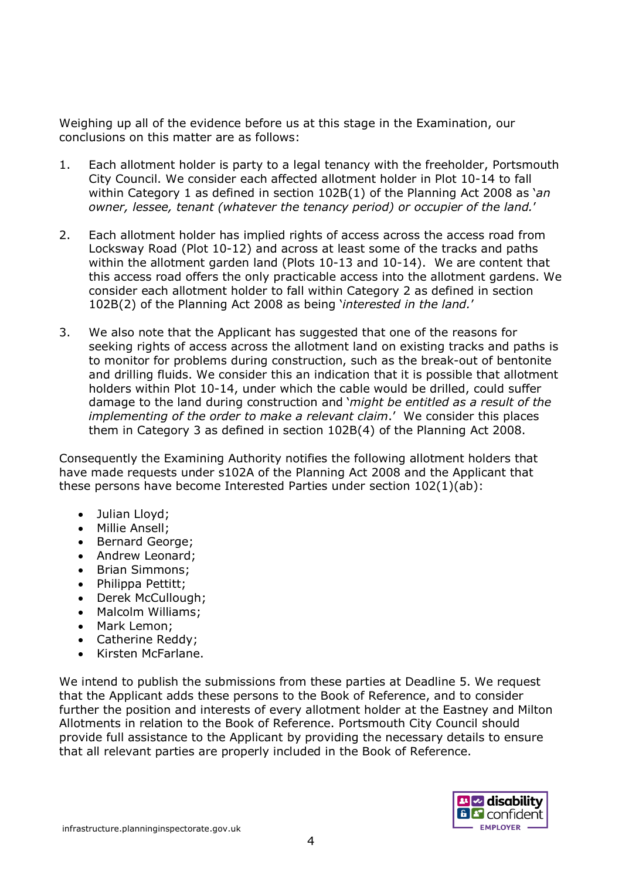Weighing up all of the evidence before us at this stage in the Examination, our conclusions on this matter are as follows:

- 1. Each allotment holder is party to a legal tenancy with the freeholder, Portsmouth City Council. We consider each affected allotment holder in Plot 10-14 to fall within Category 1 as defined in section 102B(1) of the Planning Act 2008 as '*an owner, lessee, tenant (whatever the tenancy period) or occupier of the land.*'
- 2. Each allotment holder has implied rights of access across the access road from Locksway Road (Plot 10-12) and across at least some of the tracks and paths within the allotment garden land (Plots 10-13 and 10-14). We are content that this access road offers the only practicable access into the allotment gardens. We consider each allotment holder to fall within Category 2 as defined in section 102B(2) of the Planning Act 2008 as being '*interested in the land.*'
- 3. We also note that the Applicant has suggested that one of the reasons for seeking rights of access across the allotment land on existing tracks and paths is to monitor for problems during construction, such as the break-out of bentonite and drilling fluids. We consider this an indication that it is possible that allotment holders within Plot 10-14, under which the cable would be drilled, could suffer damage to the land during construction and '*might be entitled as a result of the implementing of the order to make a relevant claim*.' We consider this places them in Category 3 as defined in section 102B(4) of the Planning Act 2008.

Consequently the Examining Authority notifies the following allotment holders that have made requests under s102A of the Planning Act 2008 and the Applicant that these persons have become Interested Parties under section 102(1)(ab):

- Julian Lloyd;
- Millie Ansell;
- Bernard George;
- Andrew Leonard:
- Brian Simmons;
- Philippa Pettitt;
- Derek McCullough;
- Malcolm Williams;
- Mark Lemon;
- Catherine Reddy;
- Kirsten McFarlane.

We intend to publish the submissions from these parties at Deadline 5. We request that the Applicant adds these persons to the Book of Reference, and to consider further the position and interests of every allotment holder at the Eastney and Milton Allotments in relation to the Book of Reference. Portsmouth City Council should provide full assistance to the Applicant by providing the necessary details to ensure that all relevant parties are properly included in the Book of Reference.